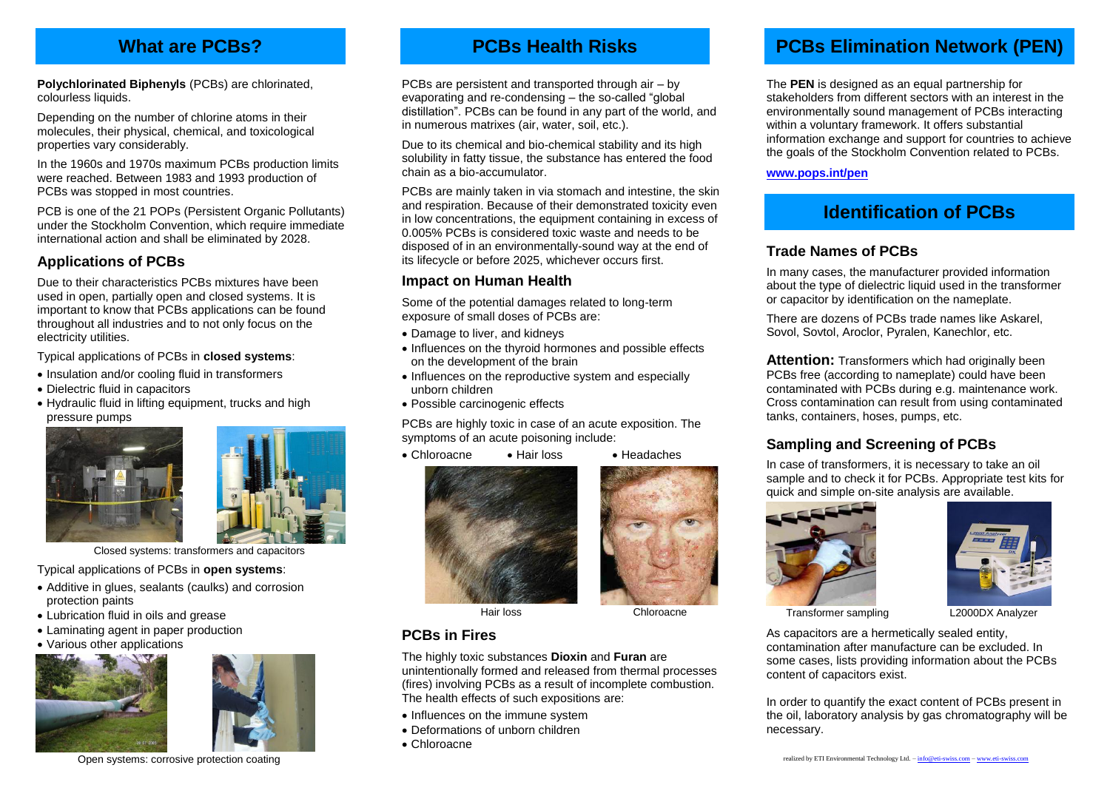# **What are PCBs?**

**Polychlorinated Biphenyls** (PCBs) are chlorinated, colourless liquids.

Depending on the number of chlorine atoms in their molecules, their physical, chemical, and toxicological properties vary considerably.

In the 1960s and 1970s maximum PCBs production limits were reached. Between 1983 and 1993 production of PCBs was stopped in most countries.

PCB is one of the 21 POPs (Persistent Organic Pollutants) under the Stockholm Convention, which require immediate international action and shall be eliminated by 2028.

#### **Applications of PCBs**

Due to their characteristics PCBs mixtures have been used in open, partially open and closed systems. It is important to know that PCBs applications can be found throughout all industries and to not only focus on the electricity utilities.

Typical applications of PCBs in **closed systems**:

- Insulation and/or cooling fluid in transformers
- Dielectric fluid in capacitors
- Hydraulic fluid in lifting equipment, trucks and high pressure pumps





Closed systems: transformers and capacitors

Typical applications of PCBs in **open systems**:

- Additive in glues, sealants (caulks) and corrosion protection paints
- Lubrication fluid in oils and grease
- Laminating agent in paper production
- Various other applications





Open systems: corrosive protection coating

# **PCBs Health Risks**

PCBs are persistent and transported through air – by evaporating and re-condensing – the so-called "global distillation". PCBs can be found in any part of the world, and in numerous matrixes (air, water, soil, etc.).

Due to its chemical and bio-chemical stability and its high solubility in fatty tissue, the substance has entered the food chain as a bio-accumulator.

PCBs are mainly taken in via stomach and intestine, the skin and respiration. Because of their demonstrated toxicity even in low concentrations, the equipment containing in excess of 0.005% PCBs is considered toxic waste and needs to be disposed of in an environmentally-sound way at the end of its lifecycle or before 2025, whichever occurs first.

#### **Impact on Human Health**

Some of the potential damages related to long-term exposure of small doses of PCBs are:

- Damage to liver, and kidneys
- Influences on the thyroid hormones and possible effects on the development of the brain
- Influences on the reproductive system and especially unborn children
- Possible carcinogenic effects

PCBs are highly toxic in case of an acute exposition. The symptoms of an acute poisoning include:

- Chloroacne Hair loss Headaches
- 









Transformer sampling L2000DX Analyzer

As capacitors are a hermetically sealed entity, contamination after manufacture can be excluded. In some cases, lists providing information about the PCBs content of capacitors exist.

In order to quantify the exact content of PCBs present in the oil, laboratory analysis by gas chromatography will be necessary.



The **PEN** is designed as an equal partnership for stakeholders from different sectors with an interest in the environmentally sound management of PCBs interacting within a voluntary framework. It offers substantial information exchange and support for countries to achieve the goals of the Stockholm Convention related to PCBs.

**[www.pops.int/pen](http://www.pops.int/pen)**

# **Identification of PCBs**

#### **Trade Names of PCBs**

In many cases, the manufacturer provided information about the type of dielectric liquid used in the transformer or capacitor by identification on the nameplate.

There are dozens of PCBs trade names like Askarel, Sovol, Sovtol, Aroclor, Pyralen, Kanechlor, etc.

**Attention:** Transformers which had originally been PCBs free (according to nameplate) could have been contaminated with PCBs during e.g. maintenance work. Cross contamination can result from using contaminated tanks, containers, hoses, pumps, etc.

### **Sampling and Screening of PCBs**

In case of transformers, it is necessary to take an oil sample and to check it for PCBs. Appropriate test kits for quick and simple on-site analysis are available.



Hair loss Chloroacne

## **PCBs in Fires**

The highly toxic substances **Dioxin** and **Furan** are

unintentionally formed and released from thermal processes (fires) involving PCBs as a result of incomplete combustion. The health effects of such expositions are:

- Influences on the immune system
- Deformations of unborn children
- Chloroacne